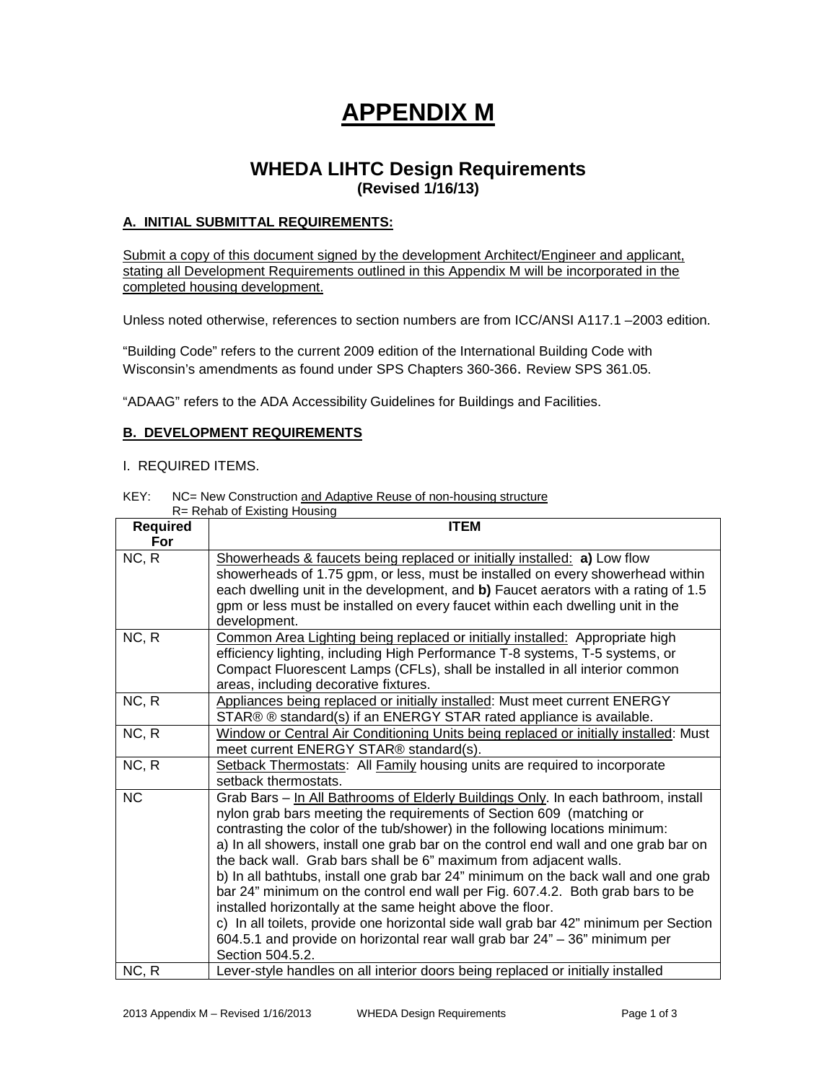# **APPENDIX M**

# **WHEDA LIHTC Design Requirements (Revised 1/16/13)**

# **A. INITIAL SUBMITTAL REQUIREMENTS:**

Submit a copy of this document signed by the development Architect/Engineer and applicant, stating all Development Requirements outlined in this Appendix M will be incorporated in the completed housing development.

Unless noted otherwise, references to section numbers are from ICC/ANSI A117.1 –2003 edition.

"Building Code" refers to the current 2009 edition of the International Building Code with Wisconsin's amendments as found under SPS Chapters 360-366. Review SPS 361.05.

"ADAAG" refers to the ADA Accessibility Guidelines for Buildings and Facilities.

# **B. DEVELOPMENT REQUIREMENTS**

#### I. REQUIRED ITEMS.

KEY: NC= New Construction and Adaptive Reuse of non-housing structure

| R= Rehab of Existing Housing |                                                                                      |  |
|------------------------------|--------------------------------------------------------------------------------------|--|
| <b>Required</b>              | <b>ITEM</b>                                                                          |  |
| For                          |                                                                                      |  |
| NC, R                        | Showerheads & faucets being replaced or initially installed: a) Low flow             |  |
|                              | showerheads of 1.75 gpm, or less, must be installed on every showerhead within       |  |
|                              | each dwelling unit in the development, and b) Faucet aerators with a rating of 1.5   |  |
|                              | gpm or less must be installed on every faucet within each dwelling unit in the       |  |
|                              | development.                                                                         |  |
| NC, R                        | Common Area Lighting being replaced or initially installed: Appropriate high         |  |
|                              | efficiency lighting, including High Performance T-8 systems, T-5 systems, or         |  |
|                              | Compact Fluorescent Lamps (CFLs), shall be installed in all interior common          |  |
|                              | areas, including decorative fixtures.                                                |  |
| NC, R                        | Appliances being replaced or initially installed: Must meet current ENERGY           |  |
|                              | STAR® ® standard(s) if an ENERGY STAR rated appliance is available.                  |  |
| NC, R                        | Window or Central Air Conditioning Units being replaced or initially installed: Must |  |
|                              | meet current ENERGY STAR® standard(s).                                               |  |
| NC, R                        | Setback Thermostats: All Family housing units are required to incorporate            |  |
|                              | setback thermostats.                                                                 |  |
| <b>NC</b>                    | Grab Bars - In All Bathrooms of Elderly Buildings Only. In each bathroom, install    |  |
|                              | nylon grab bars meeting the requirements of Section 609 (matching or                 |  |
|                              | contrasting the color of the tub/shower) in the following locations minimum:         |  |
|                              | a) In all showers, install one grab bar on the control end wall and one grab bar on  |  |
|                              | the back wall. Grab bars shall be 6" maximum from adjacent walls.                    |  |
|                              | b) In all bathtubs, install one grab bar 24" minimum on the back wall and one grab   |  |
|                              | bar 24" minimum on the control end wall per Fig. 607.4.2. Both grab bars to be       |  |
|                              | installed horizontally at the same height above the floor.                           |  |
|                              | c) In all toilets, provide one horizontal side wall grab bar 42" minimum per Section |  |
|                              | 604.5.1 and provide on horizontal rear wall grab bar 24" - 36" minimum per           |  |
|                              | Section 504.5.2.                                                                     |  |
| NC, R                        | Lever-style handles on all interior doors being replaced or initially installed      |  |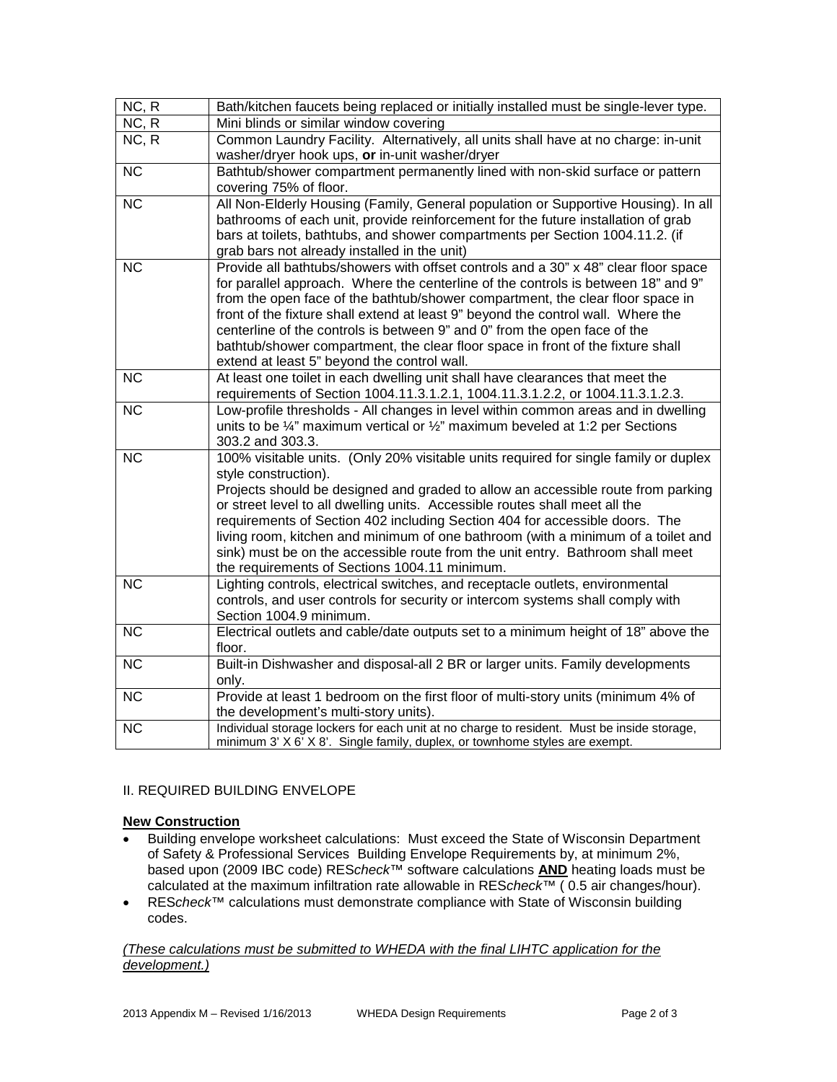| NC, R<br>NC, R<br>Mini blinds or similar window covering<br>Common Laundry Facility. Alternatively, all units shall have at no charge: in-unit<br>NC, R<br>washer/dryer hook ups, or in-unit washer/dryer<br><b>NC</b><br>covering 75% of floor.<br>$\overline{\text{NC}}$<br>bathrooms of each unit, provide reinforcement for the future installation of grab<br>bars at toilets, bathtubs, and shower compartments per Section 1004.11.2. (if<br>grab bars not already installed in the unit)<br>$\overline{\text{NC}}$<br>Provide all bathtubs/showers with offset controls and a 30" x 48" clear floor space<br>for parallel approach. Where the centerline of the controls is between 18" and 9"<br>from the open face of the bathtub/shower compartment, the clear floor space in<br>front of the fixture shall extend at least 9" beyond the control wall. Where the<br>centerline of the controls is between 9" and 0" from the open face of the<br>bathtub/shower compartment, the clear floor space in front of the fixture shall<br>extend at least 5" beyond the control wall.<br>$\overline{NC}$<br>At least one toilet in each dwelling unit shall have clearances that meet the<br>$\overline{NC}$<br>units to be $\frac{1}{4}$ " maximum vertical or $\frac{1}{2}$ " maximum beveled at 1:2 per Sections<br>303.2 and 303.3.<br>100% visitable units. (Only 20% visitable units required for single family or duplex<br>$\overline{NC}$<br>style construction).<br>Projects should be designed and graded to allow an accessible route from parking<br>or street level to all dwelling units. Accessible routes shall meet all the<br>requirements of Section 402 including Section 404 for accessible doors. The<br>living room, kitchen and minimum of one bathroom (with a minimum of a toilet and<br>sink) must be on the accessible route from the unit entry. Bathroom shall meet<br>the requirements of Sections 1004.11 minimum.<br><b>NC</b><br>Lighting controls, electrical switches, and receptacle outlets, environmental<br>Section 1004.9 minimum.<br>$\overline{\text{NC}}$<br>floor.<br>NC<br>only.<br>NC<br>the development's multi-story units).<br><b>NC</b> | Bath/kitchen faucets being replaced or initially installed must be single-lever type.                                                                                                                                                                                                                                                                   |
|---------------------------------------------------------------------------------------------------------------------------------------------------------------------------------------------------------------------------------------------------------------------------------------------------------------------------------------------------------------------------------------------------------------------------------------------------------------------------------------------------------------------------------------------------------------------------------------------------------------------------------------------------------------------------------------------------------------------------------------------------------------------------------------------------------------------------------------------------------------------------------------------------------------------------------------------------------------------------------------------------------------------------------------------------------------------------------------------------------------------------------------------------------------------------------------------------------------------------------------------------------------------------------------------------------------------------------------------------------------------------------------------------------------------------------------------------------------------------------------------------------------------------------------------------------------------------------------------------------------------------------------------------------------------------------------------------------------------------------------------------------------------------------------------------------------------------------------------------------------------------------------------------------------------------------------------------------------------------------------------------------------------------------------------------------------------------------------------------------------------------------------------------------------------------------------------------|---------------------------------------------------------------------------------------------------------------------------------------------------------------------------------------------------------------------------------------------------------------------------------------------------------------------------------------------------------|
|                                                                                                                                                                                                                                                                                                                                                                                                                                                                                                                                                                                                                                                                                                                                                                                                                                                                                                                                                                                                                                                                                                                                                                                                                                                                                                                                                                                                                                                                                                                                                                                                                                                                                                                                                                                                                                                                                                                                                                                                                                                                                                                                                                                                   |                                                                                                                                                                                                                                                                                                                                                         |
|                                                                                                                                                                                                                                                                                                                                                                                                                                                                                                                                                                                                                                                                                                                                                                                                                                                                                                                                                                                                                                                                                                                                                                                                                                                                                                                                                                                                                                                                                                                                                                                                                                                                                                                                                                                                                                                                                                                                                                                                                                                                                                                                                                                                   |                                                                                                                                                                                                                                                                                                                                                         |
|                                                                                                                                                                                                                                                                                                                                                                                                                                                                                                                                                                                                                                                                                                                                                                                                                                                                                                                                                                                                                                                                                                                                                                                                                                                                                                                                                                                                                                                                                                                                                                                                                                                                                                                                                                                                                                                                                                                                                                                                                                                                                                                                                                                                   |                                                                                                                                                                                                                                                                                                                                                         |
|                                                                                                                                                                                                                                                                                                                                                                                                                                                                                                                                                                                                                                                                                                                                                                                                                                                                                                                                                                                                                                                                                                                                                                                                                                                                                                                                                                                                                                                                                                                                                                                                                                                                                                                                                                                                                                                                                                                                                                                                                                                                                                                                                                                                   | Bathtub/shower compartment permanently lined with non-skid surface or pattern                                                                                                                                                                                                                                                                           |
|                                                                                                                                                                                                                                                                                                                                                                                                                                                                                                                                                                                                                                                                                                                                                                                                                                                                                                                                                                                                                                                                                                                                                                                                                                                                                                                                                                                                                                                                                                                                                                                                                                                                                                                                                                                                                                                                                                                                                                                                                                                                                                                                                                                                   |                                                                                                                                                                                                                                                                                                                                                         |
|                                                                                                                                                                                                                                                                                                                                                                                                                                                                                                                                                                                                                                                                                                                                                                                                                                                                                                                                                                                                                                                                                                                                                                                                                                                                                                                                                                                                                                                                                                                                                                                                                                                                                                                                                                                                                                                                                                                                                                                                                                                                                                                                                                                                   | All Non-Elderly Housing (Family, General population or Supportive Housing). In all                                                                                                                                                                                                                                                                      |
|                                                                                                                                                                                                                                                                                                                                                                                                                                                                                                                                                                                                                                                                                                                                                                                                                                                                                                                                                                                                                                                                                                                                                                                                                                                                                                                                                                                                                                                                                                                                                                                                                                                                                                                                                                                                                                                                                                                                                                                                                                                                                                                                                                                                   |                                                                                                                                                                                                                                                                                                                                                         |
|                                                                                                                                                                                                                                                                                                                                                                                                                                                                                                                                                                                                                                                                                                                                                                                                                                                                                                                                                                                                                                                                                                                                                                                                                                                                                                                                                                                                                                                                                                                                                                                                                                                                                                                                                                                                                                                                                                                                                                                                                                                                                                                                                                                                   |                                                                                                                                                                                                                                                                                                                                                         |
|                                                                                                                                                                                                                                                                                                                                                                                                                                                                                                                                                                                                                                                                                                                                                                                                                                                                                                                                                                                                                                                                                                                                                                                                                                                                                                                                                                                                                                                                                                                                                                                                                                                                                                                                                                                                                                                                                                                                                                                                                                                                                                                                                                                                   |                                                                                                                                                                                                                                                                                                                                                         |
|                                                                                                                                                                                                                                                                                                                                                                                                                                                                                                                                                                                                                                                                                                                                                                                                                                                                                                                                                                                                                                                                                                                                                                                                                                                                                                                                                                                                                                                                                                                                                                                                                                                                                                                                                                                                                                                                                                                                                                                                                                                                                                                                                                                                   |                                                                                                                                                                                                                                                                                                                                                         |
|                                                                                                                                                                                                                                                                                                                                                                                                                                                                                                                                                                                                                                                                                                                                                                                                                                                                                                                                                                                                                                                                                                                                                                                                                                                                                                                                                                                                                                                                                                                                                                                                                                                                                                                                                                                                                                                                                                                                                                                                                                                                                                                                                                                                   |                                                                                                                                                                                                                                                                                                                                                         |
|                                                                                                                                                                                                                                                                                                                                                                                                                                                                                                                                                                                                                                                                                                                                                                                                                                                                                                                                                                                                                                                                                                                                                                                                                                                                                                                                                                                                                                                                                                                                                                                                                                                                                                                                                                                                                                                                                                                                                                                                                                                                                                                                                                                                   |                                                                                                                                                                                                                                                                                                                                                         |
|                                                                                                                                                                                                                                                                                                                                                                                                                                                                                                                                                                                                                                                                                                                                                                                                                                                                                                                                                                                                                                                                                                                                                                                                                                                                                                                                                                                                                                                                                                                                                                                                                                                                                                                                                                                                                                                                                                                                                                                                                                                                                                                                                                                                   |                                                                                                                                                                                                                                                                                                                                                         |
|                                                                                                                                                                                                                                                                                                                                                                                                                                                                                                                                                                                                                                                                                                                                                                                                                                                                                                                                                                                                                                                                                                                                                                                                                                                                                                                                                                                                                                                                                                                                                                                                                                                                                                                                                                                                                                                                                                                                                                                                                                                                                                                                                                                                   |                                                                                                                                                                                                                                                                                                                                                         |
|                                                                                                                                                                                                                                                                                                                                                                                                                                                                                                                                                                                                                                                                                                                                                                                                                                                                                                                                                                                                                                                                                                                                                                                                                                                                                                                                                                                                                                                                                                                                                                                                                                                                                                                                                                                                                                                                                                                                                                                                                                                                                                                                                                                                   |                                                                                                                                                                                                                                                                                                                                                         |
|                                                                                                                                                                                                                                                                                                                                                                                                                                                                                                                                                                                                                                                                                                                                                                                                                                                                                                                                                                                                                                                                                                                                                                                                                                                                                                                                                                                                                                                                                                                                                                                                                                                                                                                                                                                                                                                                                                                                                                                                                                                                                                                                                                                                   |                                                                                                                                                                                                                                                                                                                                                         |
|                                                                                                                                                                                                                                                                                                                                                                                                                                                                                                                                                                                                                                                                                                                                                                                                                                                                                                                                                                                                                                                                                                                                                                                                                                                                                                                                                                                                                                                                                                                                                                                                                                                                                                                                                                                                                                                                                                                                                                                                                                                                                                                                                                                                   | requirements of Section 1004.11.3.1.2.1, 1004.11.3.1.2.2, or 1004.11.3.1.2.3.                                                                                                                                                                                                                                                                           |
|                                                                                                                                                                                                                                                                                                                                                                                                                                                                                                                                                                                                                                                                                                                                                                                                                                                                                                                                                                                                                                                                                                                                                                                                                                                                                                                                                                                                                                                                                                                                                                                                                                                                                                                                                                                                                                                                                                                                                                                                                                                                                                                                                                                                   | Low-profile thresholds - All changes in level within common areas and in dwelling                                                                                                                                                                                                                                                                       |
|                                                                                                                                                                                                                                                                                                                                                                                                                                                                                                                                                                                                                                                                                                                                                                                                                                                                                                                                                                                                                                                                                                                                                                                                                                                                                                                                                                                                                                                                                                                                                                                                                                                                                                                                                                                                                                                                                                                                                                                                                                                                                                                                                                                                   |                                                                                                                                                                                                                                                                                                                                                         |
|                                                                                                                                                                                                                                                                                                                                                                                                                                                                                                                                                                                                                                                                                                                                                                                                                                                                                                                                                                                                                                                                                                                                                                                                                                                                                                                                                                                                                                                                                                                                                                                                                                                                                                                                                                                                                                                                                                                                                                                                                                                                                                                                                                                                   |                                                                                                                                                                                                                                                                                                                                                         |
|                                                                                                                                                                                                                                                                                                                                                                                                                                                                                                                                                                                                                                                                                                                                                                                                                                                                                                                                                                                                                                                                                                                                                                                                                                                                                                                                                                                                                                                                                                                                                                                                                                                                                                                                                                                                                                                                                                                                                                                                                                                                                                                                                                                                   |                                                                                                                                                                                                                                                                                                                                                         |
|                                                                                                                                                                                                                                                                                                                                                                                                                                                                                                                                                                                                                                                                                                                                                                                                                                                                                                                                                                                                                                                                                                                                                                                                                                                                                                                                                                                                                                                                                                                                                                                                                                                                                                                                                                                                                                                                                                                                                                                                                                                                                                                                                                                                   |                                                                                                                                                                                                                                                                                                                                                         |
|                                                                                                                                                                                                                                                                                                                                                                                                                                                                                                                                                                                                                                                                                                                                                                                                                                                                                                                                                                                                                                                                                                                                                                                                                                                                                                                                                                                                                                                                                                                                                                                                                                                                                                                                                                                                                                                                                                                                                                                                                                                                                                                                                                                                   |                                                                                                                                                                                                                                                                                                                                                         |
|                                                                                                                                                                                                                                                                                                                                                                                                                                                                                                                                                                                                                                                                                                                                                                                                                                                                                                                                                                                                                                                                                                                                                                                                                                                                                                                                                                                                                                                                                                                                                                                                                                                                                                                                                                                                                                                                                                                                                                                                                                                                                                                                                                                                   |                                                                                                                                                                                                                                                                                                                                                         |
|                                                                                                                                                                                                                                                                                                                                                                                                                                                                                                                                                                                                                                                                                                                                                                                                                                                                                                                                                                                                                                                                                                                                                                                                                                                                                                                                                                                                                                                                                                                                                                                                                                                                                                                                                                                                                                                                                                                                                                                                                                                                                                                                                                                                   |                                                                                                                                                                                                                                                                                                                                                         |
|                                                                                                                                                                                                                                                                                                                                                                                                                                                                                                                                                                                                                                                                                                                                                                                                                                                                                                                                                                                                                                                                                                                                                                                                                                                                                                                                                                                                                                                                                                                                                                                                                                                                                                                                                                                                                                                                                                                                                                                                                                                                                                                                                                                                   |                                                                                                                                                                                                                                                                                                                                                         |
|                                                                                                                                                                                                                                                                                                                                                                                                                                                                                                                                                                                                                                                                                                                                                                                                                                                                                                                                                                                                                                                                                                                                                                                                                                                                                                                                                                                                                                                                                                                                                                                                                                                                                                                                                                                                                                                                                                                                                                                                                                                                                                                                                                                                   |                                                                                                                                                                                                                                                                                                                                                         |
|                                                                                                                                                                                                                                                                                                                                                                                                                                                                                                                                                                                                                                                                                                                                                                                                                                                                                                                                                                                                                                                                                                                                                                                                                                                                                                                                                                                                                                                                                                                                                                                                                                                                                                                                                                                                                                                                                                                                                                                                                                                                                                                                                                                                   |                                                                                                                                                                                                                                                                                                                                                         |
|                                                                                                                                                                                                                                                                                                                                                                                                                                                                                                                                                                                                                                                                                                                                                                                                                                                                                                                                                                                                                                                                                                                                                                                                                                                                                                                                                                                                                                                                                                                                                                                                                                                                                                                                                                                                                                                                                                                                                                                                                                                                                                                                                                                                   | controls, and user controls for security or intercom systems shall comply with                                                                                                                                                                                                                                                                          |
|                                                                                                                                                                                                                                                                                                                                                                                                                                                                                                                                                                                                                                                                                                                                                                                                                                                                                                                                                                                                                                                                                                                                                                                                                                                                                                                                                                                                                                                                                                                                                                                                                                                                                                                                                                                                                                                                                                                                                                                                                                                                                                                                                                                                   |                                                                                                                                                                                                                                                                                                                                                         |
|                                                                                                                                                                                                                                                                                                                                                                                                                                                                                                                                                                                                                                                                                                                                                                                                                                                                                                                                                                                                                                                                                                                                                                                                                                                                                                                                                                                                                                                                                                                                                                                                                                                                                                                                                                                                                                                                                                                                                                                                                                                                                                                                                                                                   |                                                                                                                                                                                                                                                                                                                                                         |
|                                                                                                                                                                                                                                                                                                                                                                                                                                                                                                                                                                                                                                                                                                                                                                                                                                                                                                                                                                                                                                                                                                                                                                                                                                                                                                                                                                                                                                                                                                                                                                                                                                                                                                                                                                                                                                                                                                                                                                                                                                                                                                                                                                                                   |                                                                                                                                                                                                                                                                                                                                                         |
|                                                                                                                                                                                                                                                                                                                                                                                                                                                                                                                                                                                                                                                                                                                                                                                                                                                                                                                                                                                                                                                                                                                                                                                                                                                                                                                                                                                                                                                                                                                                                                                                                                                                                                                                                                                                                                                                                                                                                                                                                                                                                                                                                                                                   |                                                                                                                                                                                                                                                                                                                                                         |
|                                                                                                                                                                                                                                                                                                                                                                                                                                                                                                                                                                                                                                                                                                                                                                                                                                                                                                                                                                                                                                                                                                                                                                                                                                                                                                                                                                                                                                                                                                                                                                                                                                                                                                                                                                                                                                                                                                                                                                                                                                                                                                                                                                                                   |                                                                                                                                                                                                                                                                                                                                                         |
|                                                                                                                                                                                                                                                                                                                                                                                                                                                                                                                                                                                                                                                                                                                                                                                                                                                                                                                                                                                                                                                                                                                                                                                                                                                                                                                                                                                                                                                                                                                                                                                                                                                                                                                                                                                                                                                                                                                                                                                                                                                                                                                                                                                                   |                                                                                                                                                                                                                                                                                                                                                         |
|                                                                                                                                                                                                                                                                                                                                                                                                                                                                                                                                                                                                                                                                                                                                                                                                                                                                                                                                                                                                                                                                                                                                                                                                                                                                                                                                                                                                                                                                                                                                                                                                                                                                                                                                                                                                                                                                                                                                                                                                                                                                                                                                                                                                   |                                                                                                                                                                                                                                                                                                                                                         |
| minimum 3' X 6' X 8'. Single family, duplex, or townhome styles are exempt.                                                                                                                                                                                                                                                                                                                                                                                                                                                                                                                                                                                                                                                                                                                                                                                                                                                                                                                                                                                                                                                                                                                                                                                                                                                                                                                                                                                                                                                                                                                                                                                                                                                                                                                                                                                                                                                                                                                                                                                                                                                                                                                       |                                                                                                                                                                                                                                                                                                                                                         |
|                                                                                                                                                                                                                                                                                                                                                                                                                                                                                                                                                                                                                                                                                                                                                                                                                                                                                                                                                                                                                                                                                                                                                                                                                                                                                                                                                                                                                                                                                                                                                                                                                                                                                                                                                                                                                                                                                                                                                                                                                                                                                                                                                                                                   | Electrical outlets and cable/date outputs set to a minimum height of 18" above the<br>Built-in Dishwasher and disposal-all 2 BR or larger units. Family developments<br>Provide at least 1 bedroom on the first floor of multi-story units (minimum 4% of<br>Individual storage lockers for each unit at no charge to resident. Must be inside storage, |

# II. REQUIRED BUILDING ENVELOPE

# **New Construction**

- Building envelope worksheet calculations: Must exceed the State of Wisconsin Department of Safety & Professional Services Building Envelope Requirements by, at minimum 2%, based upon (2009 IBC code) RES*check*™ software calculations **AND** heating loads must be calculated at the maximum infiltration rate allowable in RES*check*™ ( 0.5 air changes/hour).
- RES*check*™ calculations must demonstrate compliance with State of Wisconsin building codes.

*(These calculations must be submitted to WHEDA with the final LIHTC application for the development.)*